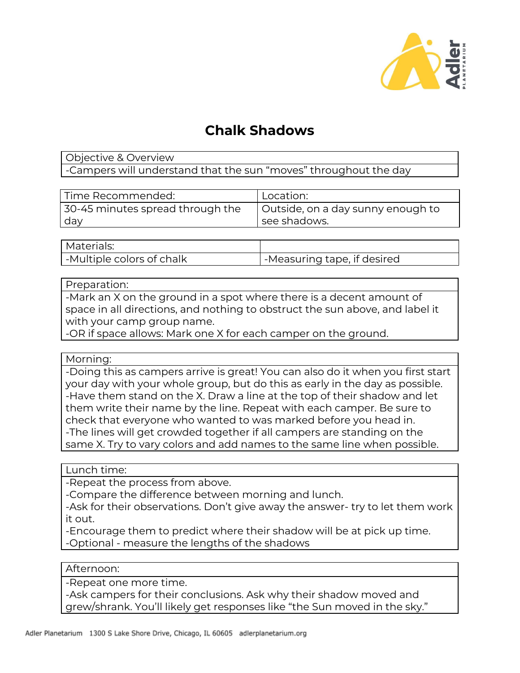

# **Chalk Shadows**

# Objective & Overview -Campers will understand that the sun "moves" throughout the day

| Time Recommended:                | 'Location:                        |
|----------------------------------|-----------------------------------|
| 30-45 minutes spread through the | Outside, on a day sunny enough to |
| day                              | see shadows.                      |

| l Materials:                |                             |
|-----------------------------|-----------------------------|
| I -Multiple colors of chalk | -Measuring tape, if desired |

#### Preparation:

-Mark an X on the ground in a spot where there is a decent amount of space in all directions, and nothing to obstruct the sun above, and label it with your camp group name.

-OR if space allows: Mark one X for each camper on the ground.

## Morning:

-Doing this as campers arrive is great! You can also do it when you first start your day with your whole group, but do this as early in the day as possible. -Have them stand on the X. Draw a line at the top of their shadow and let them write their name by the line. Repeat with each camper. Be sure to check that everyone who wanted to was marked before you head in. -The lines will get crowded together if all campers are standing on the same X. Try to vary colors and add names to the same line when possible.

Lunch time:

-Repeat the process from above.

-Compare the difference between morning and lunch.

-Ask for their observations. Don't give away the answer- try to let them work it out.

-Encourage them to predict where their shadow will be at pick up time. -Optional - measure the lengths of the shadows

## Afternoon:

-Repeat one more time.

-Ask campers for their conclusions. Ask why their shadow moved and grew/shrank. You'll likely get responses like "the Sun moved in the sky."